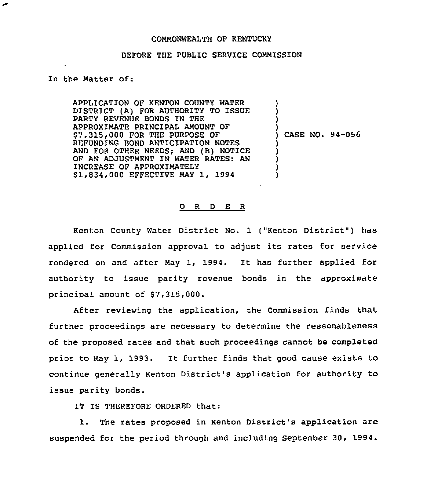#### COMMONWEALTH OF KENTUCKY

#### BEFORE THE PUBLIC SERVICE COMMISSION

### In the Matter of:

∽

APPLICATION OF KENTON COUNTY WATER DISTRICT (A) FOR AUTHORITY TO ISSUE PARTY REVENUE BONDS IN THE APPROXIMATE PRINCIPAL AMOUNT OF \$7,315,000 FOR THE PURPOSE OF REFUNDING BOND ANTICIPATION NOTES AND FOR OTHER NEEDS; AND (B) NOTICE OF AN ADJUSTMENT IN WATER RATES: AN INCREASE OF APPROXIMATELY S1,834,000 EFFECTIVE MAY 1, 1994

) CASE NO. 94-056

) ) ) )

) ) ) ) )

#### 0 R <sup>D</sup> E <sup>R</sup>

Kenton County Water District No. 1 ("Kenton District" ) has applied for Commission approval to adjust its rates for service rendered on and after May 1, 1994. It has further applied for authority to issue parity revenue bonds in the approximate principal amount of \$7,315,000.

After reviewing the application, the Commission finds that further proceedings are necessary to determine the reasonableness of the proposed rates and that such proceedings cannot be completed prior to May 1, 1993. It further finds that good cause exists to continue generally Kenton District's application for authority to issue parity bonds.

IT IS THEREFORE ORDERED that:

1. The rates proposed in Kenton District's application are suspended for the period through and including September 30, 1994.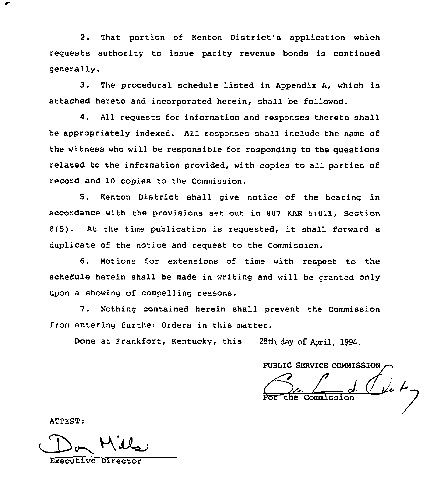2. That portion of Kenton District's application which requests authority to issue parity revenue bonds is continued generally.

3. The procedural schedule listed in Appendix A, which is attached hereto and incorporated herein, shall be followed.

4. All requests for information and responses thereto shall be appropriately indexed. All responses shall include the name of the witness who will be responsible for responding to the questions related to the information provided, with copies to all parties of record and 10 copies to the Commission.

5. Kenton District shall give notice of the hearing in accordance with the provisions set out in 807 KAR 5:011, Section 8(5). At the time publication is requested, it shall forward <sup>a</sup> duplicate of the notice and request to the Commission.

6. Motions for extensions of time with respect to the schedule herein shall be made in writing and will be granted only upon a showing of compelling reasons.

7. Nothing contained herein shall prevent the Commission from entering further Orders in this matter.

Done at Frankfort, Kentucky, this 28th day of April, 1994.

PUBLIC SERVICE COMMISSION

ATTEST:

Executive Direc